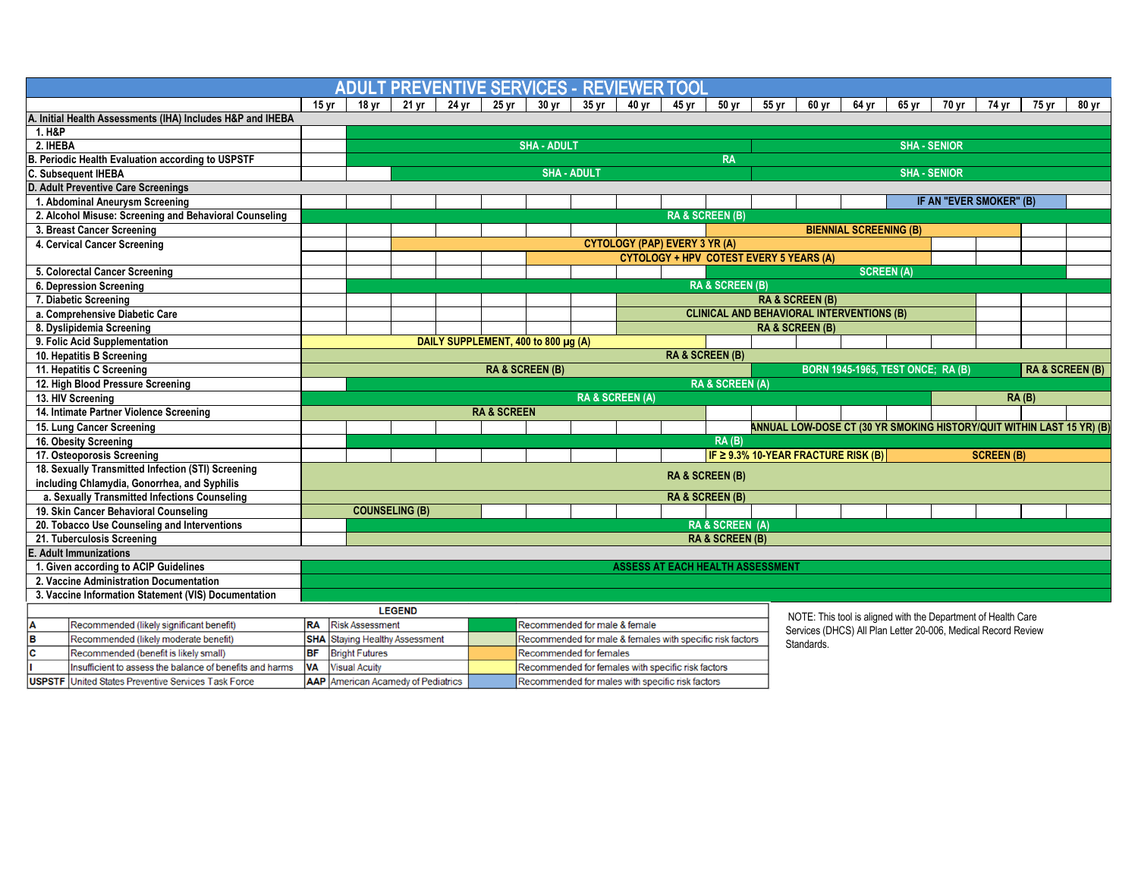|                                                   |                                                            |                  |                        |                                       |       |                        | <b>ADULT PREVENTIVE SERVICES - REVIEWER</b>               |       |                                         | TOOL                                           |                            |                     |                                                               |                                          |                   |                         |                   |       |                                                                       |  |
|---------------------------------------------------|------------------------------------------------------------|------------------|------------------------|---------------------------------------|-------|------------------------|-----------------------------------------------------------|-------|-----------------------------------------|------------------------------------------------|----------------------------|---------------------|---------------------------------------------------------------|------------------------------------------|-------------------|-------------------------|-------------------|-------|-----------------------------------------------------------------------|--|
|                                                   |                                                            | 15 <sub>yr</sub> | 18 vr                  | 21 yr                                 | 24 yr | 25 vr                  | 30 <sub>vr</sub>                                          | 35 yr | 40 vr                                   | 45 vr                                          | 50 yr                      | 55 yr               | 60 yr                                                         | 64 yr                                    | 65 yr             | 70 vr                   | 74 vr             | 75 vr | 80 vr                                                                 |  |
|                                                   | A. Initial Health Assessments (IHA) Includes H&P and IHEBA |                  |                        |                                       |       |                        |                                                           |       |                                         |                                                |                            |                     |                                                               |                                          |                   |                         |                   |       |                                                                       |  |
| 1. H&P                                            |                                                            |                  |                        |                                       |       |                        |                                                           |       |                                         |                                                |                            |                     |                                                               |                                          |                   |                         |                   |       |                                                                       |  |
| 2. IHEBA                                          |                                                            |                  | <b>SHA - ADULT</b>     |                                       |       |                        |                                                           |       |                                         |                                                |                            | <b>SHA - SENIOR</b> |                                                               |                                          |                   |                         |                   |       |                                                                       |  |
| B. Periodic Health Evaluation according to USPSTF |                                                            |                  |                        | <b>RA</b>                             |       |                        |                                                           |       |                                         |                                                |                            |                     |                                                               |                                          |                   |                         |                   |       |                                                                       |  |
| C. Subsequent IHEBA                               |                                                            |                  |                        | <b>SHA - ADULT</b>                    |       |                        |                                                           |       |                                         |                                                |                            |                     | <b>SHA - SENIOR</b>                                           |                                          |                   |                         |                   |       |                                                                       |  |
|                                                   | D. Adult Preventive Care Screenings                        |                  |                        |                                       |       |                        |                                                           |       |                                         |                                                |                            |                     |                                                               |                                          |                   |                         |                   |       |                                                                       |  |
|                                                   | 1. Abdominal Aneurysm Screening                            |                  |                        |                                       |       |                        |                                                           |       |                                         |                                                |                            |                     |                                                               |                                          |                   | IF AN "EVER SMOKER" (B) |                   |       |                                                                       |  |
|                                                   | 2. Alcohol Misuse: Screening and Behavioral Counseling     |                  |                        |                                       |       |                        |                                                           |       |                                         | <b>RA &amp; SCREEN (B)</b>                     |                            |                     |                                                               |                                          |                   |                         |                   |       |                                                                       |  |
|                                                   | 3. Breast Cancer Screening                                 |                  |                        |                                       |       |                        |                                                           |       |                                         |                                                |                            |                     |                                                               | <b>BIENNIAL SCREENING (B)</b>            |                   |                         |                   |       |                                                                       |  |
| 4. Cervical Cancer Screening                      |                                                            |                  |                        |                                       |       |                        |                                                           |       | <b>CYTOLOGY (PAP) EVERY 3 YR (A)</b>    |                                                |                            |                     |                                                               |                                          |                   |                         |                   |       |                                                                       |  |
|                                                   |                                                            |                  |                        |                                       |       |                        |                                                           |       |                                         | <b>CYTOLOGY + HPV COTEST EVERY 5 YEARS (A)</b> |                            |                     |                                                               |                                          |                   |                         |                   |       |                                                                       |  |
|                                                   | 5. Colorectal Cancer Screening                             |                  |                        |                                       |       |                        |                                                           |       |                                         |                                                |                            |                     |                                                               |                                          | <b>SCREEN (A)</b> |                         |                   |       |                                                                       |  |
|                                                   | 6. Depression Screening                                    |                  |                        |                                       |       |                        |                                                           |       |                                         |                                                | <b>RA &amp; SCREEN (B)</b> |                     |                                                               |                                          |                   |                         |                   |       |                                                                       |  |
|                                                   | 7. Diabetic Screening                                      |                  |                        |                                       |       |                        |                                                           |       |                                         |                                                |                            |                     | <b>RA &amp; SCREEN (B)</b>                                    |                                          |                   |                         |                   |       |                                                                       |  |
|                                                   | a. Comprehensive Diabetic Care                             |                  |                        |                                       |       |                        |                                                           |       |                                         |                                                |                            |                     | <b>CLINICAL AND BEHAVIORAL INTERVENTIONS (B)</b>              |                                          |                   |                         |                   |       |                                                                       |  |
| 8. Dyslipidemia Screening                         |                                                            |                  |                        |                                       |       |                        |                                                           |       |                                         |                                                |                            |                     | <b>RA &amp; SCREEN (B)</b>                                    |                                          |                   |                         |                   |       |                                                                       |  |
|                                                   | 9. Folic Acid Supplementation                              |                  |                        |                                       |       |                        | DAILY SUPPLEMENT, 400 to 800 µg (A)                       |       |                                         |                                                |                            |                     |                                                               |                                          |                   |                         |                   |       |                                                                       |  |
|                                                   | 10. Hepatitis B Screening                                  |                  |                        |                                       |       |                        |                                                           |       |                                         | <b>RA &amp; SCREEN (B)</b>                     |                            |                     |                                                               |                                          |                   |                         |                   |       |                                                                       |  |
|                                                   | 11. Hepatitis C Screening                                  |                  |                        |                                       |       |                        | <b>RA &amp; SCREEN (B)</b>                                |       |                                         |                                                |                            |                     |                                                               | <b>BORN 1945-1965, TEST ONCE: RA (B)</b> |                   |                         |                   |       | <b>RA &amp; SCREEN (B)</b>                                            |  |
|                                                   | 12. High Blood Pressure Screening                          |                  |                        |                                       |       |                        |                                                           |       |                                         |                                                | <b>RA &amp; SCREEN (A)</b> |                     |                                                               |                                          |                   |                         |                   |       |                                                                       |  |
| 13. HIV Screening                                 |                                                            |                  |                        |                                       |       |                        |                                                           |       | <b>RA &amp; SCREEN (A)</b>              |                                                |                            |                     |                                                               |                                          |                   |                         |                   | RA(B) |                                                                       |  |
|                                                   | 14. Intimate Partner Violence Screening                    |                  |                        |                                       |       | <b>RA &amp; SCREEN</b> |                                                           |       |                                         |                                                |                            |                     |                                                               |                                          |                   |                         |                   |       |                                                                       |  |
|                                                   |                                                            |                  |                        |                                       |       |                        |                                                           |       |                                         |                                                |                            |                     |                                                               |                                          |                   |                         |                   |       |                                                                       |  |
|                                                   | 15. Lung Cancer Screening                                  |                  |                        |                                       |       |                        |                                                           |       |                                         |                                                |                            |                     |                                                               |                                          |                   |                         |                   |       | ANNUAL LOW-DOSE CT (30 YR SMOKING HISTORY/QUIT WITHIN LAST 15 YR) (B) |  |
|                                                   | 16. Obesity Screening                                      |                  |                        |                                       |       |                        |                                                           |       |                                         |                                                | RA(B)                      |                     |                                                               |                                          |                   |                         |                   |       |                                                                       |  |
|                                                   | 17. Osteoporosis Screening                                 |                  |                        |                                       |       |                        |                                                           |       |                                         |                                                |                            |                     | IF $\geq$ 9.3% 10-YEAR FRACTURE RISK (B)                      |                                          |                   |                         | <b>SCREEN (B)</b> |       |                                                                       |  |
|                                                   | 18. Sexually Transmitted Infection (STI) Screening         |                  |                        |                                       |       |                        |                                                           |       |                                         |                                                |                            |                     |                                                               |                                          |                   |                         |                   |       |                                                                       |  |
|                                                   | including Chlamydia, Gonorrhea, and Syphilis               |                  |                        |                                       |       |                        |                                                           |       |                                         | <b>RA &amp; SCREEN (B)</b>                     |                            |                     |                                                               |                                          |                   |                         |                   |       |                                                                       |  |
|                                                   | a. Sexually Transmitted Infections Counseling              |                  |                        |                                       |       |                        |                                                           |       |                                         | <b>RA &amp; SCREEN (B)</b>                     |                            |                     |                                                               |                                          |                   |                         |                   |       |                                                                       |  |
|                                                   | 19. Skin Cancer Behavioral Counseling                      |                  |                        | <b>COUNSELING (B)</b>                 |       |                        |                                                           |       |                                         |                                                |                            |                     |                                                               |                                          |                   |                         |                   |       |                                                                       |  |
|                                                   | 20. Tobacco Use Counseling and Interventions               |                  |                        |                                       |       |                        |                                                           |       |                                         |                                                | <b>RA &amp; SCREEN (A)</b> |                     |                                                               |                                          |                   |                         |                   |       |                                                                       |  |
|                                                   | 21. Tuberculosis Screening                                 |                  |                        |                                       |       |                        |                                                           |       |                                         |                                                | <b>RA &amp; SCREEN (B)</b> |                     |                                                               |                                          |                   |                         |                   |       |                                                                       |  |
|                                                   | <b>E. Adult Immunizations</b>                              |                  |                        |                                       |       |                        |                                                           |       |                                         |                                                |                            |                     |                                                               |                                          |                   |                         |                   |       |                                                                       |  |
|                                                   | 1. Given according to ACIP Guidelines                      |                  |                        |                                       |       |                        |                                                           |       | <b>ASSESS AT EACH HEALTH ASSESSMENT</b> |                                                |                            |                     |                                                               |                                          |                   |                         |                   |       |                                                                       |  |
|                                                   | 2. Vaccine Administration Documentation                    |                  |                        |                                       |       |                        |                                                           |       |                                         |                                                |                            |                     |                                                               |                                          |                   |                         |                   |       |                                                                       |  |
|                                                   | 3. Vaccine Information Statement (VIS) Documentation       |                  |                        |                                       |       |                        |                                                           |       |                                         |                                                |                            |                     |                                                               |                                          |                   |                         |                   |       |                                                                       |  |
|                                                   |                                                            |                  |                        | <b>LEGEND</b>                         |       |                        |                                                           |       |                                         |                                                |                            |                     |                                                               |                                          |                   |                         |                   |       |                                                                       |  |
| A                                                 | Recommended (likely significant benefit)                   | <b>RA</b>        | <b>Risk Assessment</b> |                                       |       |                        | Recommended for male & female                             |       |                                         |                                                |                            |                     | NOTE: This tool is aligned with the Department of Health Care |                                          |                   |                         |                   |       |                                                                       |  |
| $\overline{\mathbf{B}}$                           | Recommended (likely moderate benefit)                      |                  |                        | <b>SHA</b> Staying Healthy Assessment |       |                        | Recommended for male & females with specific risk factors |       |                                         |                                                |                            |                     | Services (DHCS) All Plan Letter 20-006, Medical Record Review |                                          |                   |                         |                   |       |                                                                       |  |
| $\overline{\mathbf{c}}$                           | Recommended (benefit is likely small)                      | <b>BF</b>        | <b>Bright Futures</b>  |                                       |       |                        | <b>Recommended for females</b>                            |       |                                         |                                                |                            |                     | Standards.                                                    |                                          |                   |                         |                   |       |                                                                       |  |
|                                                   | Insufficient to assess the balance of benefits and harms   | <b>VA</b>        | <b>Visual Acuity</b>   |                                       |       |                        | Recommended for females with specific risk factors        |       |                                         |                                                |                            |                     |                                                               |                                          |                   |                         |                   |       |                                                                       |  |